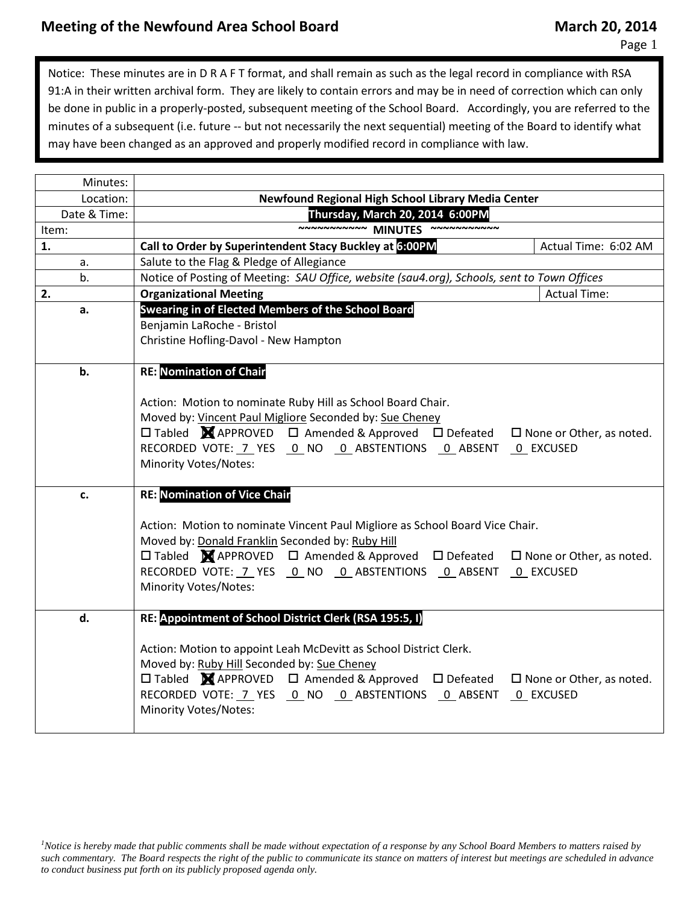Page 1

Notice: These minutes are in D R A F T format, and shall remain as such as the legal record in compliance with RSA 91:A in their written archival form. They are likely to contain errors and may be in need of correction which can only be done in public in a properly-posted, subsequent meeting of the School Board. Accordingly, you are referred to the minutes of a subsequent (i.e. future -- but not necessarily the next sequential) meeting of the Board to identify what may have been changed as an approved and properly modified record in compliance with law.

| Minutes:     |                                                                                                                                  |                                 |  |  |  |
|--------------|----------------------------------------------------------------------------------------------------------------------------------|---------------------------------|--|--|--|
| Location:    | Newfound Regional High School Library Media Center                                                                               |                                 |  |  |  |
| Date & Time: | Thursday, March 20, 2014 6:00PM                                                                                                  |                                 |  |  |  |
| Item:        | ~~~~~~~~~~~ MINUTES                                                                                                              |                                 |  |  |  |
| 1.           | Call to Order by Superintendent Stacy Buckley at 6:00PM                                                                          | Actual Time: 6:02 AM            |  |  |  |
| a.           | Salute to the Flag & Pledge of Allegiance                                                                                        |                                 |  |  |  |
| b.           | Notice of Posting of Meeting: SAU Office, website (sau4.org), Schools, sent to Town Offices                                      |                                 |  |  |  |
| 2.           | <b>Organizational Meeting</b>                                                                                                    | <b>Actual Time:</b>             |  |  |  |
| a.           | Swearing in of Elected Members of the School Board                                                                               |                                 |  |  |  |
|              | Benjamin LaRoche - Bristol                                                                                                       |                                 |  |  |  |
|              | Christine Hofling-Davol - New Hampton                                                                                            |                                 |  |  |  |
|              |                                                                                                                                  |                                 |  |  |  |
| b.           | <b>RE: Nomination of Chair</b>                                                                                                   |                                 |  |  |  |
|              |                                                                                                                                  |                                 |  |  |  |
|              | Action: Motion to nominate Ruby Hill as School Board Chair.                                                                      |                                 |  |  |  |
|              | Moved by: Vincent Paul Migliore Seconded by: Sue Cheney                                                                          |                                 |  |  |  |
|              | $\Box$ Tabled $\blacksquare$ APPROVED $\Box$ Amended & Approved $\Box$ Defeated $\Box$ None or Other, as noted.                  |                                 |  |  |  |
|              | RECORDED VOTE: 7 YES 0 NO 0 ABSTENTIONS 0 ABSENT 0 EXCUSED                                                                       |                                 |  |  |  |
|              | Minority Votes/Notes:                                                                                                            |                                 |  |  |  |
|              |                                                                                                                                  |                                 |  |  |  |
| c.           | <b>RE: Nomination of Vice Chair</b>                                                                                              |                                 |  |  |  |
|              |                                                                                                                                  |                                 |  |  |  |
|              | Action: Motion to nominate Vincent Paul Migliore as School Board Vice Chair.<br>Moved by: Donald Franklin Seconded by: Ruby Hill |                                 |  |  |  |
|              | $\square$ Tabled $\blacksquare$ APPROVED $\square$ Amended & Approved $\square$ Defeated                                         | $\Box$ None or Other, as noted. |  |  |  |
|              | RECORDED VOTE: 7 YES    0    NO    0    ABSTENTIONS    0    ABSENT    0    EXCUSED                                               |                                 |  |  |  |
|              | Minority Votes/Notes:                                                                                                            |                                 |  |  |  |
|              |                                                                                                                                  |                                 |  |  |  |
| d.           | RE: Appointment of School District Clerk (RSA 195:5, I)                                                                          |                                 |  |  |  |
|              |                                                                                                                                  |                                 |  |  |  |
|              | Action: Motion to appoint Leah McDevitt as School District Clerk.                                                                |                                 |  |  |  |
|              | Moved by: Ruby Hill Seconded by: Sue Cheney                                                                                      |                                 |  |  |  |
|              | $\Box$ Tabled $\blacksquare$ APPROVED $\Box$ Amended & Approved $\Box$ Defeated                                                  | $\Box$ None or Other, as noted. |  |  |  |
|              | RECORDED VOTE: 7 YES 0 NO 0 ABSTENTIONS 0 ABSENT 0 EXCUSED                                                                       |                                 |  |  |  |
|              | <b>Minority Votes/Notes:</b>                                                                                                     |                                 |  |  |  |
|              |                                                                                                                                  |                                 |  |  |  |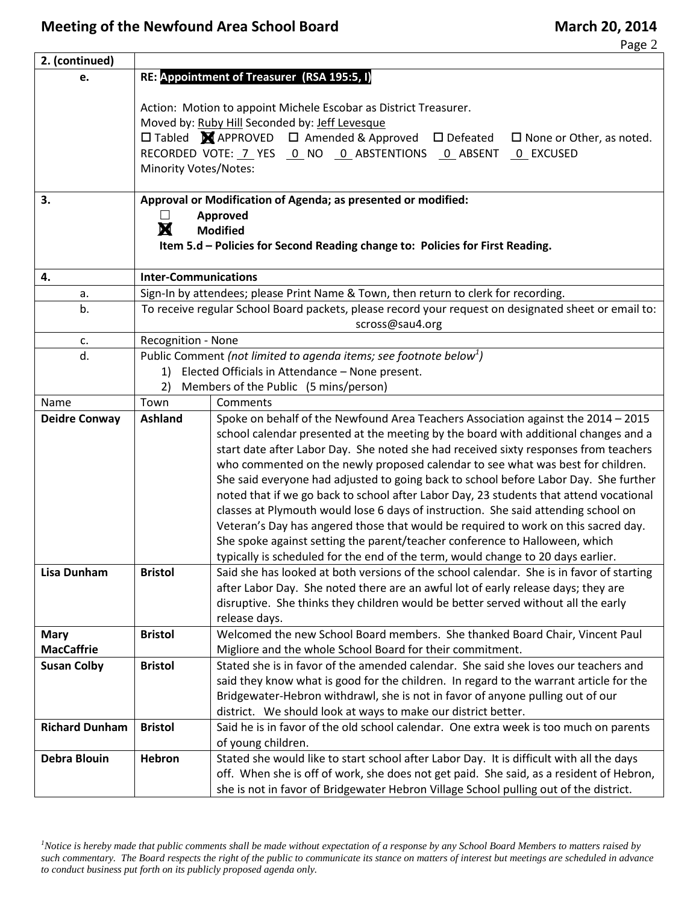Page 2

| 2. (continued)        |                                                                                                                    |                                                                                                                                                                                |  |  |  |
|-----------------------|--------------------------------------------------------------------------------------------------------------------|--------------------------------------------------------------------------------------------------------------------------------------------------------------------------------|--|--|--|
| e.                    | RE: Appointment of Treasurer (RSA 195:5, I)                                                                        |                                                                                                                                                                                |  |  |  |
|                       |                                                                                                                    |                                                                                                                                                                                |  |  |  |
|                       | Action: Motion to appoint Michele Escobar as District Treasurer.                                                   |                                                                                                                                                                                |  |  |  |
|                       |                                                                                                                    | Moved by: Ruby Hill Seconded by: Jeff Levesque                                                                                                                                 |  |  |  |
|                       |                                                                                                                    | □ Tabled <b>X</b> APPROVED □ Amended & Approved<br>$\square$ Defeated<br>$\Box$ None or Other, as noted.                                                                       |  |  |  |
|                       | <b>Minority Votes/Notes:</b>                                                                                       | RECORDED VOTE: 7 YES 0 NO 0 ABSTENTIONS 0 ABSENT<br>0 EXCUSED                                                                                                                  |  |  |  |
|                       |                                                                                                                    |                                                                                                                                                                                |  |  |  |
| 3.                    |                                                                                                                    | Approval or Modification of Agenda; as presented or modified:                                                                                                                  |  |  |  |
|                       |                                                                                                                    | Approved                                                                                                                                                                       |  |  |  |
|                       | X                                                                                                                  | <b>Modified</b>                                                                                                                                                                |  |  |  |
|                       |                                                                                                                    | Item 5.d - Policies for Second Reading change to: Policies for First Reading.                                                                                                  |  |  |  |
|                       |                                                                                                                    |                                                                                                                                                                                |  |  |  |
| 4.<br>a.              | <b>Inter-Communications</b><br>Sign-In by attendees; please Print Name & Town, then return to clerk for recording. |                                                                                                                                                                                |  |  |  |
| b.                    | To receive regular School Board packets, please record your request on designated sheet or email to:               |                                                                                                                                                                                |  |  |  |
|                       | scross@sau4.org                                                                                                    |                                                                                                                                                                                |  |  |  |
| c.                    | Recognition - None                                                                                                 |                                                                                                                                                                                |  |  |  |
| d.                    | Public Comment (not limited to agenda items; see footnote below <sup>1</sup> )                                     |                                                                                                                                                                                |  |  |  |
|                       | 1)                                                                                                                 | Elected Officials in Attendance - None present.                                                                                                                                |  |  |  |
|                       | 2)                                                                                                                 | Members of the Public (5 mins/person)                                                                                                                                          |  |  |  |
| Name                  | Town                                                                                                               | Comments                                                                                                                                                                       |  |  |  |
| <b>Deidre Conway</b>  | <b>Ashland</b>                                                                                                     | Spoke on behalf of the Newfound Area Teachers Association against the 2014 - 2015                                                                                              |  |  |  |
|                       |                                                                                                                    | school calendar presented at the meeting by the board with additional changes and a                                                                                            |  |  |  |
|                       |                                                                                                                    | start date after Labor Day. She noted she had received sixty responses from teachers                                                                                           |  |  |  |
|                       |                                                                                                                    | who commented on the newly proposed calendar to see what was best for children.                                                                                                |  |  |  |
|                       |                                                                                                                    | She said everyone had adjusted to going back to school before Labor Day. She further<br>noted that if we go back to school after Labor Day, 23 students that attend vocational |  |  |  |
|                       |                                                                                                                    | classes at Plymouth would lose 6 days of instruction. She said attending school on                                                                                             |  |  |  |
|                       |                                                                                                                    | Veteran's Day has angered those that would be required to work on this sacred day.                                                                                             |  |  |  |
|                       |                                                                                                                    | She spoke against setting the parent/teacher conference to Halloween, which                                                                                                    |  |  |  |
|                       |                                                                                                                    | typically is scheduled for the end of the term, would change to 20 days earlier.                                                                                               |  |  |  |
| <b>Lisa Dunham</b>    | <b>Bristol</b>                                                                                                     | Said she has looked at both versions of the school calendar. She is in favor of starting                                                                                       |  |  |  |
|                       |                                                                                                                    | after Labor Day. She noted there are an awful lot of early release days; they are                                                                                              |  |  |  |
|                       |                                                                                                                    | disruptive. She thinks they children would be better served without all the early                                                                                              |  |  |  |
|                       |                                                                                                                    | release days.                                                                                                                                                                  |  |  |  |
| <b>Mary</b>           | <b>Bristol</b>                                                                                                     | Welcomed the new School Board members. She thanked Board Chair, Vincent Paul                                                                                                   |  |  |  |
| <b>MacCaffrie</b>     |                                                                                                                    | Migliore and the whole School Board for their commitment.                                                                                                                      |  |  |  |
| <b>Susan Colby</b>    | <b>Bristol</b>                                                                                                     | Stated she is in favor of the amended calendar. She said she loves our teachers and                                                                                            |  |  |  |
|                       |                                                                                                                    | said they know what is good for the children. In regard to the warrant article for the                                                                                         |  |  |  |
|                       |                                                                                                                    | Bridgewater-Hebron withdrawl, she is not in favor of anyone pulling out of our<br>district. We should look at ways to make our district better.                                |  |  |  |
| <b>Richard Dunham</b> | <b>Bristol</b>                                                                                                     | Said he is in favor of the old school calendar. One extra week is too much on parents                                                                                          |  |  |  |
|                       |                                                                                                                    | of young children.                                                                                                                                                             |  |  |  |
| <b>Debra Blouin</b>   | Hebron                                                                                                             | Stated she would like to start school after Labor Day. It is difficult with all the days                                                                                       |  |  |  |
|                       |                                                                                                                    | off. When she is off of work, she does not get paid. She said, as a resident of Hebron,                                                                                        |  |  |  |
|                       |                                                                                                                    | she is not in favor of Bridgewater Hebron Village School pulling out of the district.                                                                                          |  |  |  |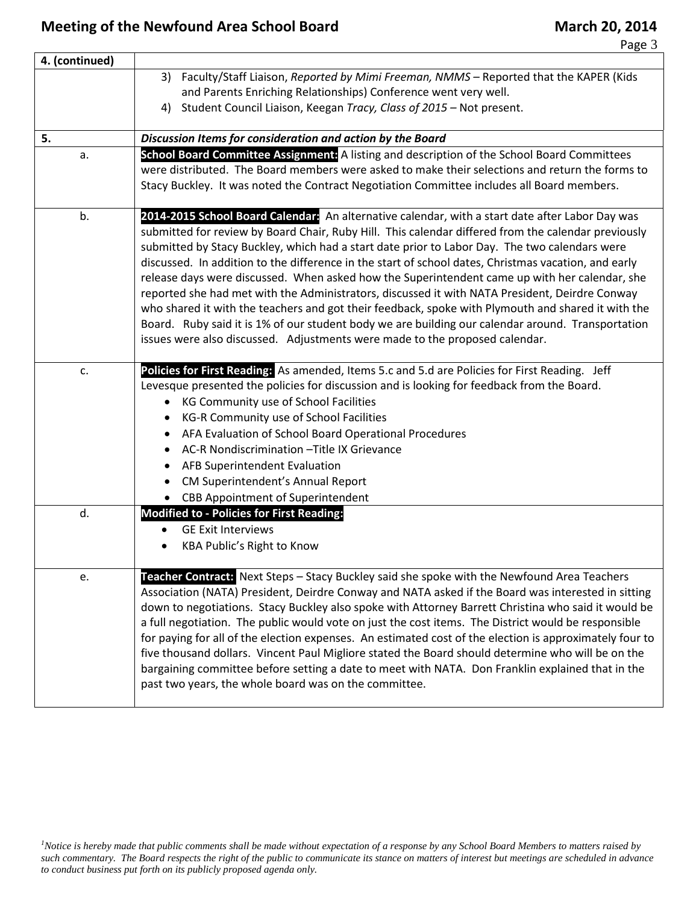## **Meeting of the Newfound Area School Board March 20, 2014**

Page 3

| 4. (continued) |                                                                                                                                                                                                                                                                                                                                                                                                                                                                                                                                                                                                                                                                                                                                                                                                                                                                                                              |
|----------------|--------------------------------------------------------------------------------------------------------------------------------------------------------------------------------------------------------------------------------------------------------------------------------------------------------------------------------------------------------------------------------------------------------------------------------------------------------------------------------------------------------------------------------------------------------------------------------------------------------------------------------------------------------------------------------------------------------------------------------------------------------------------------------------------------------------------------------------------------------------------------------------------------------------|
|                | 3) Faculty/Staff Liaison, Reported by Mimi Freeman, NMMS - Reported that the KAPER (Kids<br>and Parents Enriching Relationships) Conference went very well.<br>4) Student Council Liaison, Keegan Tracy, Class of 2015 - Not present.                                                                                                                                                                                                                                                                                                                                                                                                                                                                                                                                                                                                                                                                        |
| 5.             | Discussion Items for consideration and action by the Board                                                                                                                                                                                                                                                                                                                                                                                                                                                                                                                                                                                                                                                                                                                                                                                                                                                   |
| a.             | School Board Committee Assignment: A listing and description of the School Board Committees<br>were distributed. The Board members were asked to make their selections and return the forms to<br>Stacy Buckley. It was noted the Contract Negotiation Committee includes all Board members.                                                                                                                                                                                                                                                                                                                                                                                                                                                                                                                                                                                                                 |
| b.             | 2014-2015 School Board Calendar: An alternative calendar, with a start date after Labor Day was<br>submitted for review by Board Chair, Ruby Hill. This calendar differed from the calendar previously<br>submitted by Stacy Buckley, which had a start date prior to Labor Day. The two calendars were<br>discussed. In addition to the difference in the start of school dates, Christmas vacation, and early<br>release days were discussed. When asked how the Superintendent came up with her calendar, she<br>reported she had met with the Administrators, discussed it with NATA President, Deirdre Conway<br>who shared it with the teachers and got their feedback, spoke with Plymouth and shared it with the<br>Board. Ruby said it is 1% of our student body we are building our calendar around. Transportation<br>issues were also discussed. Adjustments were made to the proposed calendar. |
| c.             | Policies for First Reading: As amended, Items 5.c and 5.d are Policies for First Reading. Jeff<br>Levesque presented the policies for discussion and is looking for feedback from the Board.<br>• KG Community use of School Facilities<br>KG-R Community use of School Facilities<br>AFA Evaluation of School Board Operational Procedures<br>AC-R Nondiscrimination - Title IX Grievance<br><b>AFB Superintendent Evaluation</b><br>CM Superintendent's Annual Report<br>• CBB Appointment of Superintendent                                                                                                                                                                                                                                                                                                                                                                                               |
| d.             | <b>Modified to - Policies for First Reading:</b><br><b>GE Exit Interviews</b><br>$\bullet$<br><b>KBA Public's Right to Know</b>                                                                                                                                                                                                                                                                                                                                                                                                                                                                                                                                                                                                                                                                                                                                                                              |
| e.             | Teacher Contract: Next Steps - Stacy Buckley said she spoke with the Newfound Area Teachers<br>Association (NATA) President, Deirdre Conway and NATA asked if the Board was interested in sitting<br>down to negotiations. Stacy Buckley also spoke with Attorney Barrett Christina who said it would be<br>a full negotiation. The public would vote on just the cost items. The District would be responsible<br>for paying for all of the election expenses. An estimated cost of the election is approximately four to<br>five thousand dollars. Vincent Paul Migliore stated the Board should determine who will be on the<br>bargaining committee before setting a date to meet with NATA. Don Franklin explained that in the<br>past two years, the whole board was on the committee.                                                                                                                 |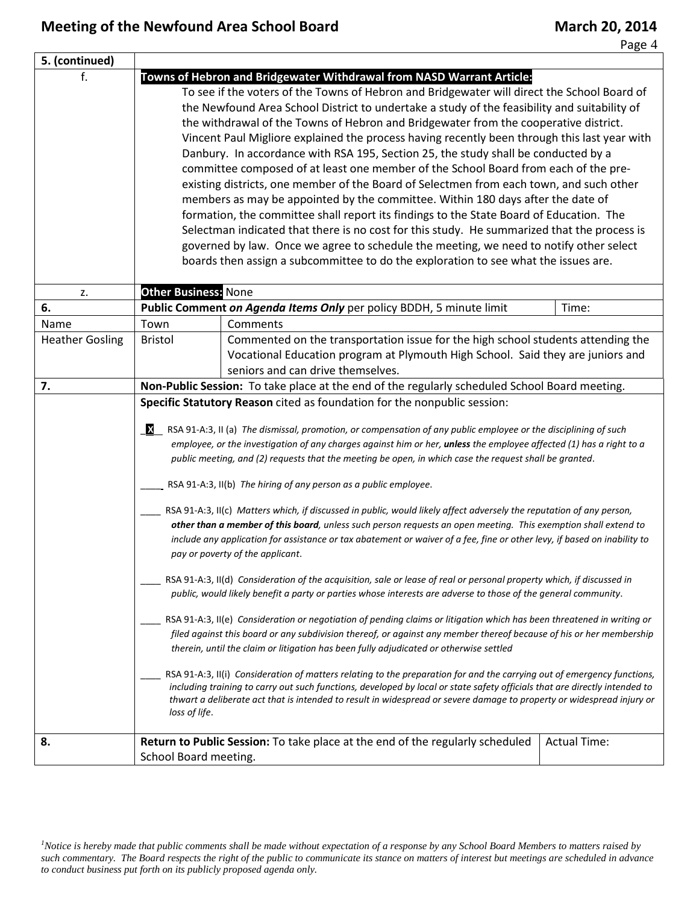ᅮ

Page 4

| 5. (continued)         |                                                                                                                                                                                                                                                                                                                                                                                                                                                                                                                                                                                                                                                                                                                                                                                                                                                                                                                                                                                                                                                                                                                                                                                                                                                                                                                                                                                                                                                                                                                                                                                                                                                                                                                                                                                                                                                                                                                                                                                                      |                                                                                                                                                                                                          |                     |  |
|------------------------|------------------------------------------------------------------------------------------------------------------------------------------------------------------------------------------------------------------------------------------------------------------------------------------------------------------------------------------------------------------------------------------------------------------------------------------------------------------------------------------------------------------------------------------------------------------------------------------------------------------------------------------------------------------------------------------------------------------------------------------------------------------------------------------------------------------------------------------------------------------------------------------------------------------------------------------------------------------------------------------------------------------------------------------------------------------------------------------------------------------------------------------------------------------------------------------------------------------------------------------------------------------------------------------------------------------------------------------------------------------------------------------------------------------------------------------------------------------------------------------------------------------------------------------------------------------------------------------------------------------------------------------------------------------------------------------------------------------------------------------------------------------------------------------------------------------------------------------------------------------------------------------------------------------------------------------------------------------------------------------------------|----------------------------------------------------------------------------------------------------------------------------------------------------------------------------------------------------------|---------------------|--|
|                        | Towns of Hebron and Bridgewater Withdrawal from NASD Warrant Article:<br>To see if the voters of the Towns of Hebron and Bridgewater will direct the School Board of<br>the Newfound Area School District to undertake a study of the feasibility and suitability of<br>the withdrawal of the Towns of Hebron and Bridgewater from the cooperative district.<br>Vincent Paul Migliore explained the process having recently been through this last year with<br>Danbury. In accordance with RSA 195, Section 25, the study shall be conducted by a<br>committee composed of at least one member of the School Board from each of the pre-<br>existing districts, one member of the Board of Selectmen from each town, and such other<br>members as may be appointed by the committee. Within 180 days after the date of<br>formation, the committee shall report its findings to the State Board of Education. The<br>Selectman indicated that there is no cost for this study. He summarized that the process is<br>governed by law. Once we agree to schedule the meeting, we need to notify other select<br>boards then assign a subcommittee to do the exploration to see what the issues are.                                                                                                                                                                                                                                                                                                                                                                                                                                                                                                                                                                                                                                                                                                                                                                                                   |                                                                                                                                                                                                          |                     |  |
| z.                     | <b>Other Business: None</b>                                                                                                                                                                                                                                                                                                                                                                                                                                                                                                                                                                                                                                                                                                                                                                                                                                                                                                                                                                                                                                                                                                                                                                                                                                                                                                                                                                                                                                                                                                                                                                                                                                                                                                                                                                                                                                                                                                                                                                          |                                                                                                                                                                                                          |                     |  |
| 6.                     |                                                                                                                                                                                                                                                                                                                                                                                                                                                                                                                                                                                                                                                                                                                                                                                                                                                                                                                                                                                                                                                                                                                                                                                                                                                                                                                                                                                                                                                                                                                                                                                                                                                                                                                                                                                                                                                                                                                                                                                                      | Public Comment on Agenda Items Only per policy BDDH, 5 minute limit                                                                                                                                      | Time:               |  |
| Name                   | Town                                                                                                                                                                                                                                                                                                                                                                                                                                                                                                                                                                                                                                                                                                                                                                                                                                                                                                                                                                                                                                                                                                                                                                                                                                                                                                                                                                                                                                                                                                                                                                                                                                                                                                                                                                                                                                                                                                                                                                                                 | Comments                                                                                                                                                                                                 |                     |  |
| <b>Heather Gosling</b> | <b>Bristol</b>                                                                                                                                                                                                                                                                                                                                                                                                                                                                                                                                                                                                                                                                                                                                                                                                                                                                                                                                                                                                                                                                                                                                                                                                                                                                                                                                                                                                                                                                                                                                                                                                                                                                                                                                                                                                                                                                                                                                                                                       | Commented on the transportation issue for the high school students attending the<br>Vocational Education program at Plymouth High School. Said they are juniors and<br>seniors and can drive themselves. |                     |  |
| 7.                     |                                                                                                                                                                                                                                                                                                                                                                                                                                                                                                                                                                                                                                                                                                                                                                                                                                                                                                                                                                                                                                                                                                                                                                                                                                                                                                                                                                                                                                                                                                                                                                                                                                                                                                                                                                                                                                                                                                                                                                                                      |                                                                                                                                                                                                          |                     |  |
|                        | Non-Public Session: To take place at the end of the regularly scheduled School Board meeting.<br>Specific Statutory Reason cited as foundation for the nonpublic session:<br>RSA 91-A:3, II (a) The dismissal, promotion, or compensation of any public employee or the disciplining of such<br>employee, or the investigation of any charges against him or her, unless the employee affected (1) has a right to a<br>public meeting, and (2) requests that the meeting be open, in which case the request shall be granted.<br>RSA 91-A:3, II(b) The hiring of any person as a public employee.<br>RSA 91-A:3, II(c) Matters which, if discussed in public, would likely affect adversely the reputation of any person,<br>other than a member of this board, unless such person requests an open meeting. This exemption shall extend to<br>include any application for assistance or tax abatement or waiver of a fee, fine or other levy, if based on inability to<br>pay or poverty of the applicant.<br>RSA 91-A:3, II(d) Consideration of the acquisition, sale or lease of real or personal property which, if discussed in<br>public, would likely benefit a party or parties whose interests are adverse to those of the general community.<br>RSA 91-A:3, II(e) Consideration or negotiation of pending claims or litigation which has been threatened in writing or<br>filed against this board or any subdivision thereof, or against any member thereof because of his or her membership<br>therein, until the claim or litigation has been fully adjudicated or otherwise settled<br>RSA 91-A:3, II(i) Consideration of matters relating to the preparation for and the carrying out of emergency functions,<br>including training to carry out such functions, developed by local or state safety officials that are directly intended to<br>thwart a deliberate act that is intended to result in widespread or severe damage to property or widespread injury or<br>loss of life. |                                                                                                                                                                                                          |                     |  |
| 8.                     | School Board meeting.                                                                                                                                                                                                                                                                                                                                                                                                                                                                                                                                                                                                                                                                                                                                                                                                                                                                                                                                                                                                                                                                                                                                                                                                                                                                                                                                                                                                                                                                                                                                                                                                                                                                                                                                                                                                                                                                                                                                                                                | Return to Public Session: To take place at the end of the regularly scheduled                                                                                                                            | <b>Actual Time:</b> |  |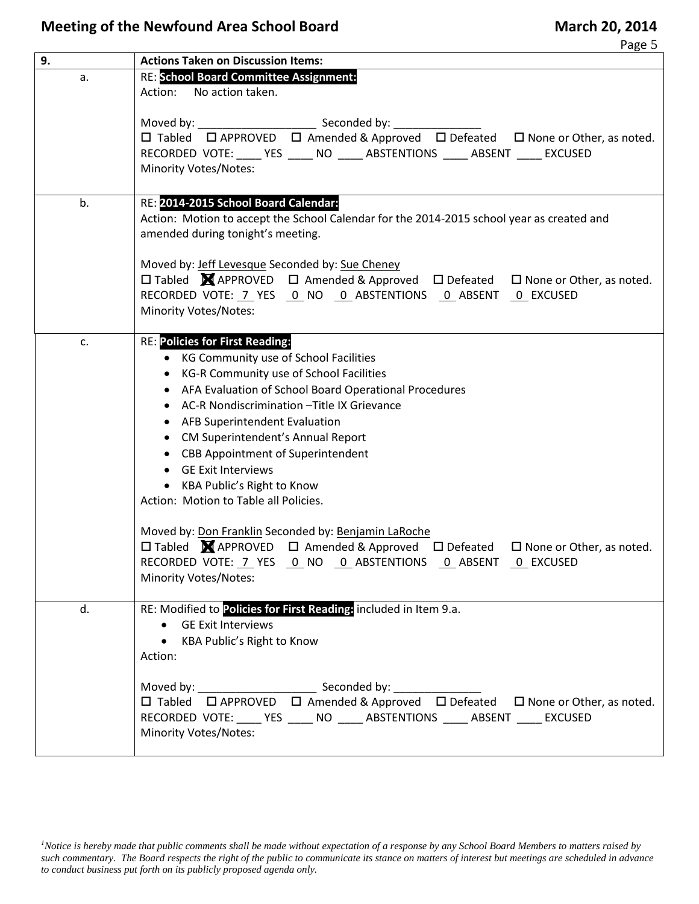## **Meeting of the Newfound Area School Board March 20, 2014**

| 9. | <b>Actions Taken on Discussion Items:</b>                                                                                                                                                                                                                                                                                                                                                                                                                                                                     |  |  |  |
|----|---------------------------------------------------------------------------------------------------------------------------------------------------------------------------------------------------------------------------------------------------------------------------------------------------------------------------------------------------------------------------------------------------------------------------------------------------------------------------------------------------------------|--|--|--|
| a. | <b>RE: School Board Committee Assignment:</b><br>No action taken.<br>Action:                                                                                                                                                                                                                                                                                                                                                                                                                                  |  |  |  |
|    | RECORDED VOTE: _____ YES _____ NO _____ ABSTENTIONS _____ ABSENT _____ EXCUSED<br>Minority Votes/Notes:                                                                                                                                                                                                                                                                                                                                                                                                       |  |  |  |
| b. | RE: 2014-2015 School Board Calendar:<br>Action: Motion to accept the School Calendar for the 2014-2015 school year as created and<br>amended during tonight's meeting.                                                                                                                                                                                                                                                                                                                                        |  |  |  |
|    | Moved by: Jeff Levesque Seconded by: Sue Cheney<br>□ Tabled <b>M</b> APPROVED □ Amended & Approved □ Defeated □ None or Other, as noted.<br>RECORDED VOTE: 7 YES 0 NO 0 ABSTENTIONS 0 ABSENT 0 EXCUSED<br>Minority Votes/Notes:                                                                                                                                                                                                                                                                               |  |  |  |
| c. | <b>RE: Policies for First Reading:</b><br>• KG Community use of School Facilities<br>KG-R Community use of School Facilities<br>$\bullet$<br>AFA Evaluation of School Board Operational Procedures<br>$\bullet$<br>AC-R Nondiscrimination - Title IX Grievance<br>AFB Superintendent Evaluation<br>$\bullet$<br>• CM Superintendent's Annual Report<br>• CBB Appointment of Superintendent<br><b>GE Exit Interviews</b><br>$\bullet$<br>• KBA Public's Right to Know<br>Action: Motion to Table all Policies. |  |  |  |
|    | Moved by: Don Franklin Seconded by: Benjamin LaRoche<br>□ Tabled MAPPROVED □ Amended & Approved □ Defeated □ None or Other, as noted.<br>RECORDED VOTE: 7 YES 0 NO 0 ABSTENTIONS 0 ABSENT 0 EXCUSED<br><b>Minority Votes/Notes:</b>                                                                                                                                                                                                                                                                           |  |  |  |
| d. | RE: Modified to Policies for First Reading: included in Item 9.a.<br>• GE Exit Interviews<br>• KBA Public's Right to Know<br>Action:                                                                                                                                                                                                                                                                                                                                                                          |  |  |  |
|    | □ Tabled □ APPROVED □ Amended & Approved □ Defeated □ None or Other, as noted.<br>RECORDED VOTE: _____ YES _____ NO _____ ABSTENTIONS _____ ABSENT _____ EXCUSED<br>Minority Votes/Notes:                                                                                                                                                                                                                                                                                                                     |  |  |  |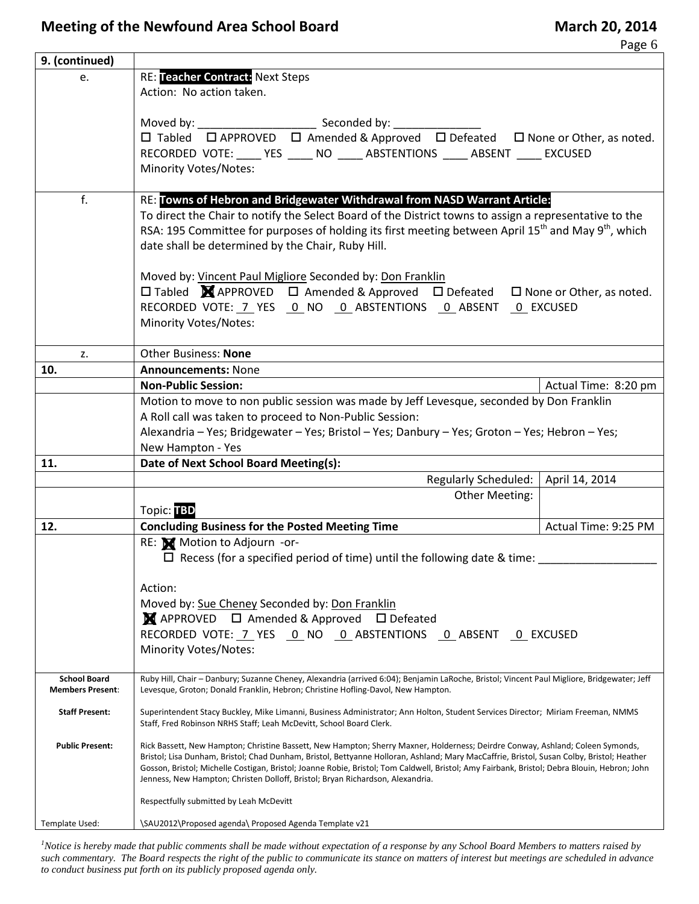Page 6

| 9. (continued)                                 |                                                                                                                                                                                                                                                                                                                                                                                                                                                                                                               |                      |  |  |
|------------------------------------------------|---------------------------------------------------------------------------------------------------------------------------------------------------------------------------------------------------------------------------------------------------------------------------------------------------------------------------------------------------------------------------------------------------------------------------------------------------------------------------------------------------------------|----------------------|--|--|
| e.                                             | <b>RE: Teacher Contract: Next Steps</b><br>Action: No action taken.                                                                                                                                                                                                                                                                                                                                                                                                                                           |                      |  |  |
|                                                |                                                                                                                                                                                                                                                                                                                                                                                                                                                                                                               |                      |  |  |
|                                                |                                                                                                                                                                                                                                                                                                                                                                                                                                                                                                               |                      |  |  |
|                                                |                                                                                                                                                                                                                                                                                                                                                                                                                                                                                                               |                      |  |  |
|                                                | RECORDED VOTE: _____ YES _____ NO _____ ABSTENTIONS _____ ABSENT _____ EXCUSED                                                                                                                                                                                                                                                                                                                                                                                                                                |                      |  |  |
|                                                | <b>Minority Votes/Notes:</b>                                                                                                                                                                                                                                                                                                                                                                                                                                                                                  |                      |  |  |
| f.                                             | RE: Towns of Hebron and Bridgewater Withdrawal from NASD Warrant Article:                                                                                                                                                                                                                                                                                                                                                                                                                                     |                      |  |  |
|                                                | To direct the Chair to notify the Select Board of the District towns to assign a representative to the                                                                                                                                                                                                                                                                                                                                                                                                        |                      |  |  |
|                                                | RSA: 195 Committee for purposes of holding its first meeting between April 15 <sup>th</sup> and May 9 <sup>th</sup> , which                                                                                                                                                                                                                                                                                                                                                                                   |                      |  |  |
|                                                | date shall be determined by the Chair, Ruby Hill.                                                                                                                                                                                                                                                                                                                                                                                                                                                             |                      |  |  |
|                                                | Moved by: Vincent Paul Migliore Seconded by: Don Franklin                                                                                                                                                                                                                                                                                                                                                                                                                                                     |                      |  |  |
|                                                | $\Box$ Tabled $\blacksquare$ APPROVED $\Box$ Amended & Approved $\Box$ Defeated $\Box$ None or Other, as noted.                                                                                                                                                                                                                                                                                                                                                                                               |                      |  |  |
|                                                | RECORDED VOTE: 7 YES    0 NO    0 ABSTENTIONS    0 ABSENT    0 EXCUSED                                                                                                                                                                                                                                                                                                                                                                                                                                        |                      |  |  |
|                                                | Minority Votes/Notes:                                                                                                                                                                                                                                                                                                                                                                                                                                                                                         |                      |  |  |
|                                                | <b>Other Business: None</b>                                                                                                                                                                                                                                                                                                                                                                                                                                                                                   |                      |  |  |
| z.<br>10.                                      | <b>Announcements: None</b>                                                                                                                                                                                                                                                                                                                                                                                                                                                                                    |                      |  |  |
|                                                | <b>Non-Public Session:</b>                                                                                                                                                                                                                                                                                                                                                                                                                                                                                    | Actual Time: 8:20 pm |  |  |
|                                                | Motion to move to non public session was made by Jeff Levesque, seconded by Don Franklin                                                                                                                                                                                                                                                                                                                                                                                                                      |                      |  |  |
|                                                | A Roll call was taken to proceed to Non-Public Session:                                                                                                                                                                                                                                                                                                                                                                                                                                                       |                      |  |  |
|                                                | Alexandria - Yes; Bridgewater - Yes; Bristol - Yes; Danbury - Yes; Groton - Yes; Hebron - Yes;                                                                                                                                                                                                                                                                                                                                                                                                                |                      |  |  |
|                                                | New Hampton - Yes                                                                                                                                                                                                                                                                                                                                                                                                                                                                                             |                      |  |  |
| 11.                                            | Date of Next School Board Meeting(s):                                                                                                                                                                                                                                                                                                                                                                                                                                                                         |                      |  |  |
|                                                | Regularly Scheduled:   April 14, 2014<br><b>Other Meeting:</b>                                                                                                                                                                                                                                                                                                                                                                                                                                                |                      |  |  |
|                                                | Topic: TBD                                                                                                                                                                                                                                                                                                                                                                                                                                                                                                    |                      |  |  |
| 12.                                            | <b>Concluding Business for the Posted Meeting Time</b>                                                                                                                                                                                                                                                                                                                                                                                                                                                        | Actual Time: 9:25 PM |  |  |
|                                                | RE: Motion to Adjourn -or-                                                                                                                                                                                                                                                                                                                                                                                                                                                                                    |                      |  |  |
|                                                | $\Box$ Recess (for a specified period of time) until the following date & time:                                                                                                                                                                                                                                                                                                                                                                                                                               |                      |  |  |
|                                                |                                                                                                                                                                                                                                                                                                                                                                                                                                                                                                               |                      |  |  |
|                                                | Action:                                                                                                                                                                                                                                                                                                                                                                                                                                                                                                       |                      |  |  |
|                                                | Moved by: Sue Cheney Seconded by: Don Franklin<br>■ APPROVED □ Amended & Approved □ Defeated                                                                                                                                                                                                                                                                                                                                                                                                                  |                      |  |  |
|                                                | RECORDED VOTE: 7 YES 0 NO 0 ABSTENTIONS 0 ABSENT 0 EXCUSED                                                                                                                                                                                                                                                                                                                                                                                                                                                    |                      |  |  |
|                                                | <b>Minority Votes/Notes:</b>                                                                                                                                                                                                                                                                                                                                                                                                                                                                                  |                      |  |  |
|                                                |                                                                                                                                                                                                                                                                                                                                                                                                                                                                                                               |                      |  |  |
| <b>School Board</b><br><b>Members Present:</b> | Ruby Hill, Chair - Danbury; Suzanne Cheney, Alexandria (arrived 6:04); Benjamin LaRoche, Bristol; Vincent Paul Migliore, Bridgewater; Jeff<br>Levesque, Groton; Donald Franklin, Hebron; Christine Hofling-Davol, New Hampton.                                                                                                                                                                                                                                                                                |                      |  |  |
| <b>Staff Present:</b>                          | Superintendent Stacy Buckley, Mike Limanni, Business Administrator; Ann Holton, Student Services Director; Miriam Freeman, NMMS<br>Staff, Fred Robinson NRHS Staff; Leah McDevitt, School Board Clerk.                                                                                                                                                                                                                                                                                                        |                      |  |  |
| <b>Public Present:</b>                         | Rick Bassett, New Hampton; Christine Bassett, New Hampton; Sherry Maxner, Holderness; Deirdre Conway, Ashland; Coleen Symonds,<br>Bristol; Lisa Dunham, Bristol; Chad Dunham, Bristol, Bettyanne Holloran, Ashland; Mary MacCaffrie, Bristol, Susan Colby, Bristol; Heather<br>Gosson, Bristol; Michelle Costigan, Bristol; Joanne Robie, Bristol; Tom Caldwell, Bristol; Amy Fairbank, Bristol; Debra Blouin, Hebron; John<br>Jenness, New Hampton; Christen Dolloff, Bristol; Bryan Richardson, Alexandria. |                      |  |  |
|                                                | Respectfully submitted by Leah McDevitt                                                                                                                                                                                                                                                                                                                                                                                                                                                                       |                      |  |  |
| Template Used:                                 | \SAU2012\Proposed agenda\ Proposed Agenda Template v21                                                                                                                                                                                                                                                                                                                                                                                                                                                        |                      |  |  |